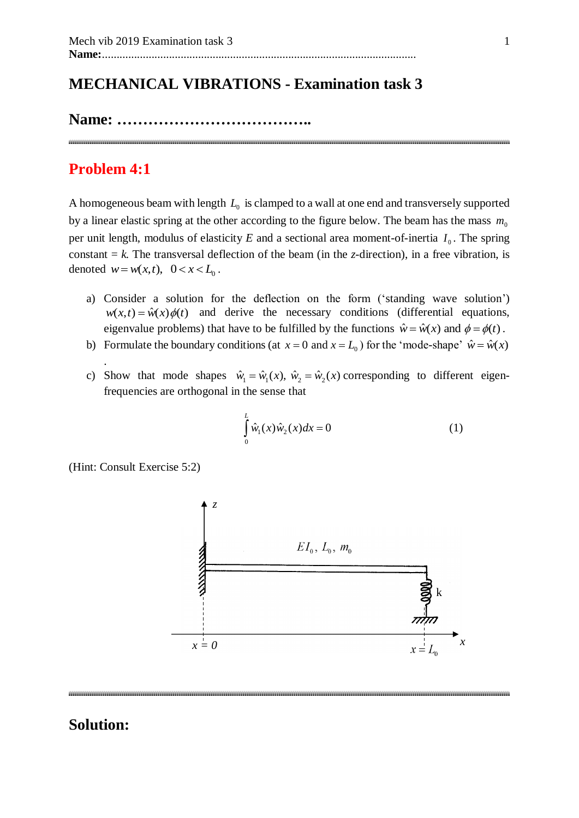# **MECHANICAL VIBRATIONS - Examination task 3**

**Name: ………………………………..**

# **Problem 4:1**

.

A homogeneous beam with length  $L_0$  is clamped to a wall at one end and transversely supported by a linear elastic spring at the other according to the figure below. The beam has the mass  $m_0$ per unit length, modulus of elasticity  $E$  and a sectional area moment-of-inertia  $I_0$ . The spring constant  $= k$ . The transversal deflection of the beam (in the *z*-direction), in a free vibration, is denoted  $w = w(x,t)$ ,  $0 < x < L_0$ .

- a) Consider a solution for the deflection on the form ('standing wave solution')  $w(x,t) = \hat{w}(x)\phi(t)$  and derive the necessary conditions (differential equations, eigenvalue problems) that have to be fulfilled by the functions  $\hat{w} = \hat{w}(x)$  and  $\phi = \phi(t)$ .
- b) Formulate the boundary conditions (at  $x = 0$  and  $x = L_0$ ) for the 'mode-shape'  $\hat{w} = \hat{w}(x)$
- c) Show that mode shapes  $\hat{w}_1 = \hat{w}_1(x)$ ,  $\hat{w}_2 = \hat{w}_2(x)$  corresponding to different eigenfrequencies are orthogonal in the sense that

$$
\int_{0}^{L} \hat{w}_1(x)\hat{w}_2(x)dx = 0
$$
\n(1)

(Hint: Consult Exercise 5:2)

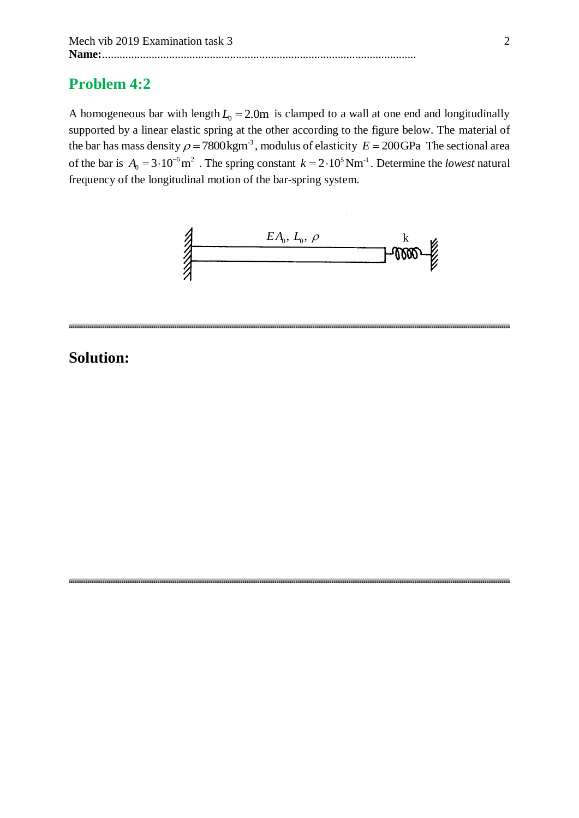# **Problem 4:2**

A homogeneous bar with length  $L_0 = 2.0$ m is clamped to a wall at one end and longitudinally supported by a linear elastic spring at the other according to the figure below. The material of the bar has mass density  $\rho = 7800 \text{kgm}^3$ , modulus of elasticity  $E = 200 \text{GPa}$  The sectional area of the bar is  $A_0 = 3 \cdot 10^{-6} \text{m}^2$ . The spring constant  $k = 2 \cdot 10^5 \text{ Nm}^2$ . Determine the *lowest* natural frequency of the longitudinal motion of the bar-spring system.



#### 

# **Solution:**

\*\*\*\*\*\*\*\*\*\*\*\*\*\*\*\*\*\*\*\*\*\*\*\*\*\*\*\*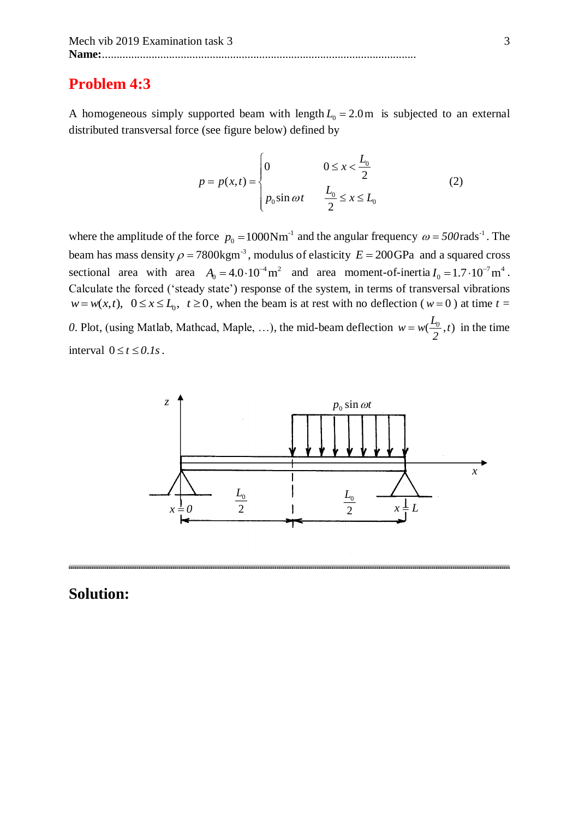### **Problem 4:3**

A homogeneous simply supported beam with length  $L_0 = 2.0$ m is subjected to an external distributed transversal force (see figure below) defined by

$$
p = p(x,t) = \begin{cases} 0 & 0 \le x < \frac{L_0}{2} \\ p_0 \sin \omega t & \frac{L_0}{2} \le x \le L_0 \end{cases}
$$
 (2)

where the amplitude of the force  $p_0 = 1000 \text{Nm}^{-1}$  and the angular frequency  $\omega = 500 \text{rads}^{-1}$ . The beam has mass density  $\rho = 7800 \text{kgm}^3$ , modulus of elasticity  $E = 200 \text{GPa}$  and a squared cross sectional area with area  $A_0 = 4.0 \cdot 10^{-4} \text{ m}^2$  and area moment-of-inertia  $I_0 = 1.7 \cdot 10^{-7} \text{ m}^4$ . Calculate the forced ('steady state') response of the system, in terms of transversal vibrations  $w = w(x, t)$ ,  $0 \le x \le L_0$ ,  $t \ge 0$ , when the beam is at rest with no deflection ( $w = 0$ ) at time  $t = 0$ 0. Plot, (using Matlab, Mathcad, Maple, ...), the mid-beam deflection  $w = w(\frac{L_0}{2}, t)$ *2*  $= w(\frac{L_0}{2}, t)$  in the time interval  $0 \le t \le 0.1s$ .



## **Solution:**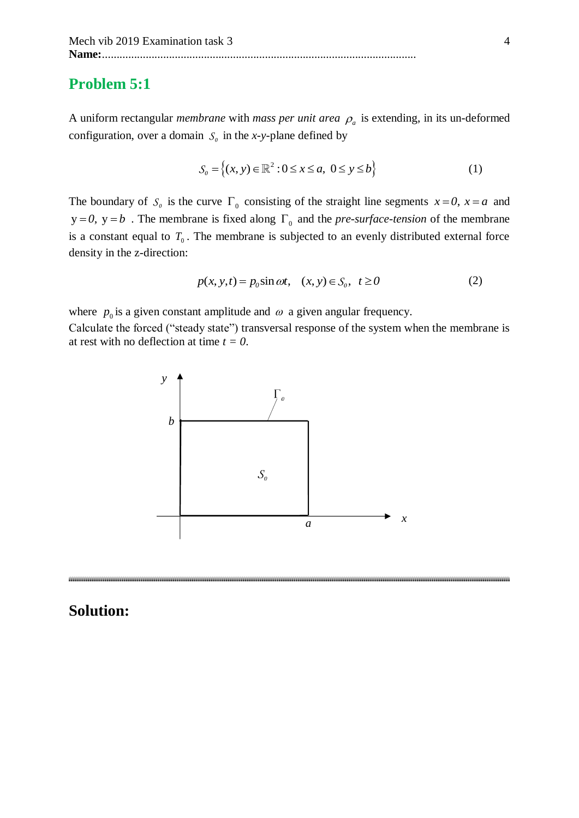## **Problem 5:1**

A uniform rectangular *membrane* with *mass per unit area*  $\rho_a$  is extending, in its un-deformed configuration, over a domain  $S_0$  in the *x*-y-plane defined by

$$
S_0 = \{(x, y) \in \mathbb{R}^2 : 0 \le x \le a, \ 0 \le y \le b\}
$$
 (1)

The boundary of  $S_0$  is the curve  $\Gamma_0$  consisting of the straight line segments  $x = 0$ ,  $x = a$  and  $y = 0$ ,  $y = b$ . The membrane is fixed along  $\Gamma_0$  and the *pre-surface-tension* of the membrane is a constant equal to  $T_0$ . The membrane is subjected to an evenly distributed external force density in the z-direction:

$$
p(x, y, t) = p_0 \sin \omega t, \quad (x, y) \in S_0, \quad t \ge 0
$$
 (2)

where  $p_0$  is a given constant amplitude and  $\omega$  a given angular frequency.

Calculate the forced ("steady state") transversal response of the system when the membrane is at rest with no deflection at time *t = 0*.

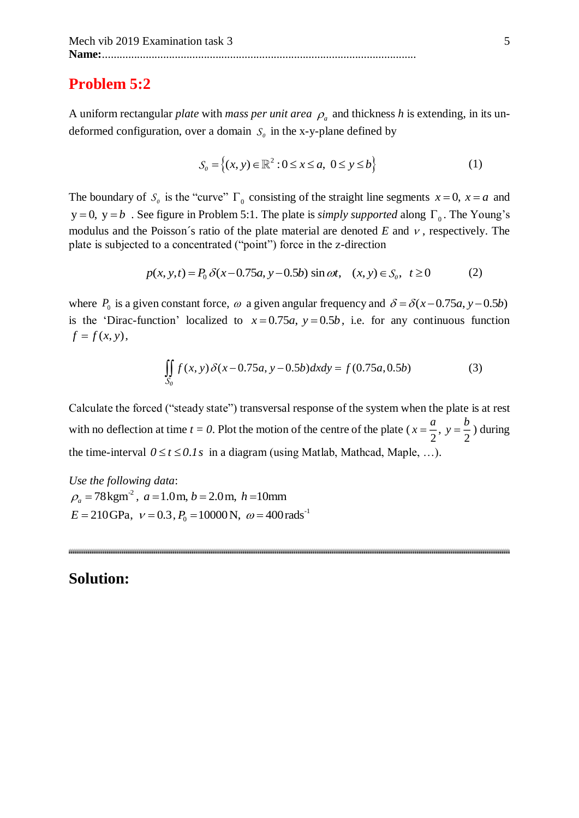### **Problem 5:2**

A uniform rectangular *plate* with *mass per unit area*  $\rho_a$  and thickness *h* is extending, in its undeformed configuration, over a domain  $S_0$  in the x-y-plane defined by

$$
S_0 = \{(x, y) \in \mathbb{R}^2 : 0 \le x \le a, \ 0 \le y \le b\}
$$
 (1)

The boundary of  $S_0$  is the "curve"  $\Gamma_0$  consisting of the straight line segments  $x = 0$ ,  $x = a$  and  $y = 0$ ,  $y = b$ . See figure in Problem 5:1. The plate is *simply supported* along  $\Gamma_0$ . The Young's modulus and the Poisson's ratio of the plate material are denoted  $E$  and  $\nu$ , respectively. The plate is subjected to a concentrated ("point") force in the z-direction

$$
p(x, y, t) = P_0 \delta(x - 0.75a, y - 0.5b) \sin \omega t, \quad (x, y) \in S_0, \ t \ge 0 \tag{2}
$$

where  $P_0$  is a given constant force,  $\omega$  a given angular frequency and  $\delta = \delta(x-0.75a, y-0.5b)$ is the 'Dirac-function' localized to  $x = 0.75a$ ,  $y = 0.5b$ , i.e. for any continuous function  $f = f(x, y)$ ,

$$
\iint_{S_0} f(x, y) \delta(x - 0.75a, y - 0.5b) dx dy = f(0.75a, 0.5b)
$$
 (3)

Calculate the forced ("steady state") transversal response of the system when the plate is at rest with no deflection at time  $t = 0$ . Plot the motion of the centre of the plate  $(x = \frac{\alpha}{2}, y = \frac{\alpha}{2})$ *<sup>a</sup> b*  $x = \frac{a}{2}$ ,  $y = \frac{b}{2}$ ) during the time-interval  $0 \le t \le 0.1s$  in a diagram (using Matlab, Mathcad, Maple, ...).

*Use the following data*:  $\rho_a = 78 \,\mathrm{kgm}^2$ ,  $a = 1.0 \,\mathrm{m}$ ,  $b = 2.0 \,\mathrm{m}$ ,  $h = 10 \,\mathrm{mm}$  $E = 210 \text{GPa}$ ,  $v = 0.3$ ,  $P_0 = 10000 \text{N}$ ,  $\omega = 400 \text{rads}^{-1}$